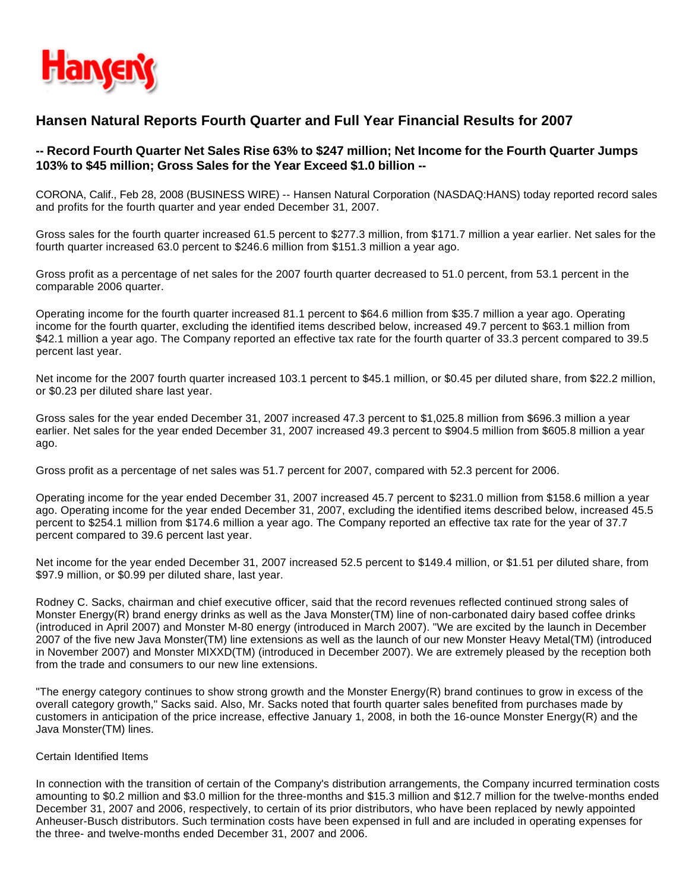

# **Hansen Natural Reports Fourth Quarter and Full Year Financial Results for 2007**

## **-- Record Fourth Quarter Net Sales Rise 63% to \$247 million; Net Income for the Fourth Quarter Jumps 103% to \$45 million; Gross Sales for the Year Exceed \$1.0 billion --**

CORONA, Calif., Feb 28, 2008 (BUSINESS WIRE) -- Hansen Natural Corporation (NASDAQ:HANS) today reported record sales and profits for the fourth quarter and year ended December 31, 2007.

Gross sales for the fourth quarter increased 61.5 percent to \$277.3 million, from \$171.7 million a year earlier. Net sales for the fourth quarter increased 63.0 percent to \$246.6 million from \$151.3 million a year ago.

Gross profit as a percentage of net sales for the 2007 fourth quarter decreased to 51.0 percent, from 53.1 percent in the comparable 2006 quarter.

Operating income for the fourth quarter increased 81.1 percent to \$64.6 million from \$35.7 million a year ago. Operating income for the fourth quarter, excluding the identified items described below, increased 49.7 percent to \$63.1 million from \$42.1 million a year ago. The Company reported an effective tax rate for the fourth quarter of 33.3 percent compared to 39.5 percent last year.

Net income for the 2007 fourth quarter increased 103.1 percent to \$45.1 million, or \$0.45 per diluted share, from \$22.2 million, or \$0.23 per diluted share last year.

Gross sales for the year ended December 31, 2007 increased 47.3 percent to \$1,025.8 million from \$696.3 million a year earlier. Net sales for the year ended December 31, 2007 increased 49.3 percent to \$904.5 million from \$605.8 million a year ago.

Gross profit as a percentage of net sales was 51.7 percent for 2007, compared with 52.3 percent for 2006.

Operating income for the year ended December 31, 2007 increased 45.7 percent to \$231.0 million from \$158.6 million a year ago. Operating income for the year ended December 31, 2007, excluding the identified items described below, increased 45.5 percent to \$254.1 million from \$174.6 million a year ago. The Company reported an effective tax rate for the year of 37.7 percent compared to 39.6 percent last year.

Net income for the year ended December 31, 2007 increased 52.5 percent to \$149.4 million, or \$1.51 per diluted share, from \$97.9 million, or \$0.99 per diluted share, last year.

Rodney C. Sacks, chairman and chief executive officer, said that the record revenues reflected continued strong sales of Monster Energy(R) brand energy drinks as well as the Java Monster(TM) line of non-carbonated dairy based coffee drinks (introduced in April 2007) and Monster M-80 energy (introduced in March 2007). "We are excited by the launch in December 2007 of the five new Java Monster(TM) line extensions as well as the launch of our new Monster Heavy Metal(TM) (introduced in November 2007) and Monster MIXXD(TM) (introduced in December 2007). We are extremely pleased by the reception both from the trade and consumers to our new line extensions.

"The energy category continues to show strong growth and the Monster Energy(R) brand continues to grow in excess of the overall category growth," Sacks said. Also, Mr. Sacks noted that fourth quarter sales benefited from purchases made by customers in anticipation of the price increase, effective January 1, 2008, in both the 16-ounce Monster Energy(R) and the Java Monster(TM) lines.

#### Certain Identified Items

In connection with the transition of certain of the Company's distribution arrangements, the Company incurred termination costs amounting to \$0.2 million and \$3.0 million for the three-months and \$15.3 million and \$12.7 million for the twelve-months ended December 31, 2007 and 2006, respectively, to certain of its prior distributors, who have been replaced by newly appointed Anheuser-Busch distributors. Such termination costs have been expensed in full and are included in operating expenses for the three- and twelve-months ended December 31, 2007 and 2006.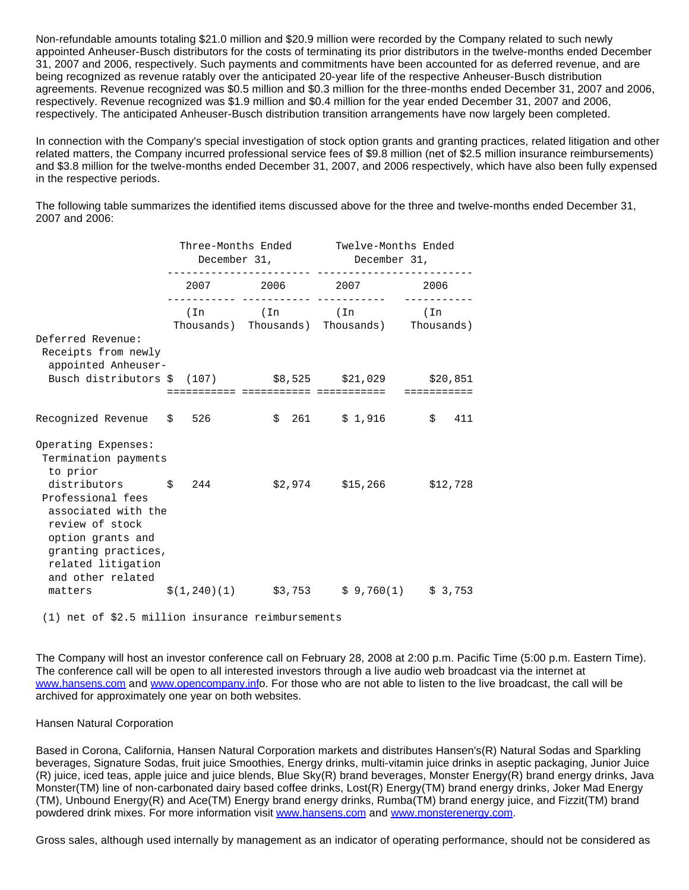Non-refundable amounts totaling \$21.0 million and \$20.9 million were recorded by the Company related to such newly appointed Anheuser-Busch distributors for the costs of terminating its prior distributors in the twelve-months ended December 31, 2007 and 2006, respectively. Such payments and commitments have been accounted for as deferred revenue, and are being recognized as revenue ratably over the anticipated 20-year life of the respective Anheuser-Busch distribution agreements. Revenue recognized was \$0.5 million and \$0.3 million for the three-months ended December 31, 2007 and 2006, respectively. Revenue recognized was \$1.9 million and \$0.4 million for the year ended December 31, 2007 and 2006, respectively. The anticipated Anheuser-Busch distribution transition arrangements have now largely been completed.

In connection with the Company's special investigation of stock option grants and granting practices, related litigation and other related matters, the Company incurred professional service fees of \$9.8 million (net of \$2.5 million insurance reimbursements) and \$3.8 million for the twelve-months ended December 31, 2007, and 2006 respectively, which have also been fully expensed in the respective periods.

The following table summarizes the identified items discussed above for the three and twelve-months ended December 31, 2007 and 2006:

|                                                                                                                                                                           |                                                                                                                                                                                                                                                                                                                         | Three-Months Ended Twelve-Months Ended<br>December 31, December 31, |                        |  |  |  |  |
|---------------------------------------------------------------------------------------------------------------------------------------------------------------------------|-------------------------------------------------------------------------------------------------------------------------------------------------------------------------------------------------------------------------------------------------------------------------------------------------------------------------|---------------------------------------------------------------------|------------------------|--|--|--|--|
|                                                                                                                                                                           | 2007 2006 2007 2006<br>________ ____________ __________                                                                                                                                                                                                                                                                 |                                                                     |                        |  |  |  |  |
|                                                                                                                                                                           | (In (In (In (In ))<br>Thousands) Thousands) Thousands) Thousands)                                                                                                                                                                                                                                                       |                                                                     |                        |  |  |  |  |
| Deferred Revenue:<br>Receipts from newly<br>appointed Anheuser-                                                                                                           |                                                                                                                                                                                                                                                                                                                         |                                                                     |                        |  |  |  |  |
| Busch distributors \$ (107) \$8,525 \$21,029 \$20,851                                                                                                                     |                                                                                                                                                                                                                                                                                                                         |                                                                     |                        |  |  |  |  |
| Recognized Revenue \$ 526                                                                                                                                                 |                                                                                                                                                                                                                                                                                                                         |                                                                     | $$261$ $$1,916$ $$411$ |  |  |  |  |
| Operating Expenses:<br>Termination payments<br>to prior                                                                                                                   |                                                                                                                                                                                                                                                                                                                         |                                                                     |                        |  |  |  |  |
| distributors \$ 244<br>Professional fees<br>associated with the<br>review of stock<br>option grants and<br>granting practices,<br>related litigation<br>and other related |                                                                                                                                                                                                                                                                                                                         | $$2,974$ $$15,266$ $$12,728$                                        |                        |  |  |  |  |
| matters                                                                                                                                                                   | $\frac{1}{2}(1,240)(1)$ $\frac{1}{2}$ $\frac{1}{2}$ $\frac{1}{2}$ $\frac{1}{2}$ $\frac{1}{2}$ $\frac{1}{2}$ $\frac{1}{2}$ $\frac{1}{2}$ $\frac{1}{2}$ $\frac{1}{2}$ $\frac{1}{2}$ $\frac{1}{2}$ $\frac{1}{2}$ $\frac{1}{2}$ $\frac{1}{2}$ $\frac{1}{2}$ $\frac{1}{2}$ $\frac{1}{2}$ $\frac{1}{2}$ $\frac{1}{2}$ $\frac$ |                                                                     |                        |  |  |  |  |

(1) net of \$2.5 million insurance reimbursements

The Company will host an investor conference call on February 28, 2008 at 2:00 p.m. Pacific Time (5:00 p.m. Eastern Time). The conference call will be open to all interested investors through a live audio web broadcast via the internet at [www.hansens.com](http://www.hansens.com/) and [www.opencompany.inf](http://www.opencompany.inf/)o. For those who are not able to listen to the live broadcast, the call will be archived for approximately one year on both websites.

#### Hansen Natural Corporation

Based in Corona, California, Hansen Natural Corporation markets and distributes Hansen's(R) Natural Sodas and Sparkling beverages, Signature Sodas, fruit juice Smoothies, Energy drinks, multi-vitamin juice drinks in aseptic packaging, Junior Juice (R) juice, iced teas, apple juice and juice blends, Blue Sky(R) brand beverages, Monster Energy(R) brand energy drinks, Java Monster(TM) line of non-carbonated dairy based coffee drinks, Lost(R) Energy(TM) brand energy drinks, Joker Mad Energy (TM), Unbound Energy(R) and Ace(TM) Energy brand energy drinks, Rumba(TM) brand energy juice, and Fizzit(TM) brand powdered drink mixes. For more information visit [www.hansens.com](http://www.hansens.com/) and [www.monsterenergy.com.](http://www.monsterenergy.com/)

Gross sales, although used internally by management as an indicator of operating performance, should not be considered as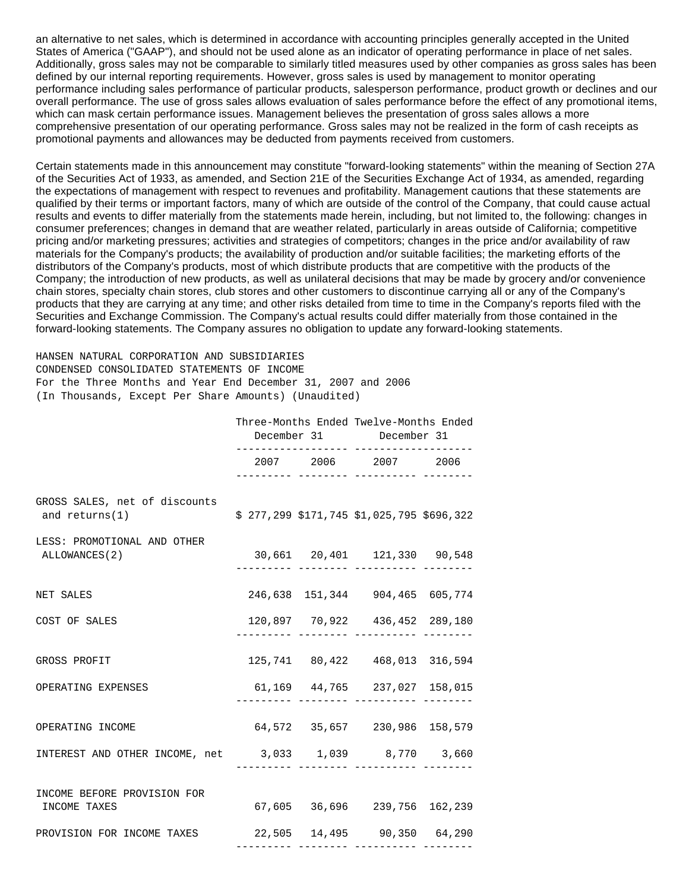an alternative to net sales, which is determined in accordance with accounting principles generally accepted in the United States of America ("GAAP"), and should not be used alone as an indicator of operating performance in place of net sales. Additionally, gross sales may not be comparable to similarly titled measures used by other companies as gross sales has been defined by our internal reporting requirements. However, gross sales is used by management to monitor operating performance including sales performance of particular products, salesperson performance, product growth or declines and our overall performance. The use of gross sales allows evaluation of sales performance before the effect of any promotional items, which can mask certain performance issues. Management believes the presentation of gross sales allows a more comprehensive presentation of our operating performance. Gross sales may not be realized in the form of cash receipts as promotional payments and allowances may be deducted from payments received from customers.

Certain statements made in this announcement may constitute "forward-looking statements" within the meaning of Section 27A of the Securities Act of 1933, as amended, and Section 21E of the Securities Exchange Act of 1934, as amended, regarding the expectations of management with respect to revenues and profitability. Management cautions that these statements are qualified by their terms or important factors, many of which are outside of the control of the Company, that could cause actual results and events to differ materially from the statements made herein, including, but not limited to, the following: changes in consumer preferences; changes in demand that are weather related, particularly in areas outside of California; competitive pricing and/or marketing pressures; activities and strategies of competitors; changes in the price and/or availability of raw materials for the Company's products; the availability of production and/or suitable facilities; the marketing efforts of the distributors of the Company's products, most of which distribute products that are competitive with the products of the Company; the introduction of new products, as well as unilateral decisions that may be made by grocery and/or convenience chain stores, specialty chain stores, club stores and other customers to discontinue carrying all or any of the Company's products that they are carrying at any time; and other risks detailed from time to time in the Company's reports filed with the Securities and Exchange Commission. The Company's actual results could differ materially from those contained in the forward-looking statements. The Company assures no obligation to update any forward-looking statements.

HANSEN NATURAL CORPORATION AND SUBSIDIARIES CONDENSED CONSOLIDATED STATEMENTS OF INCOME For the Three Months and Year End December 31, 2007 and 2006 (In Thousands, Except Per Share Amounts) (Unaudited)

|                                                        | December 31 December 31<br>------------ |  | Three-Months Ended Twelve-Months Ended                              |  |  |  |
|--------------------------------------------------------|-----------------------------------------|--|---------------------------------------------------------------------|--|--|--|
|                                                        |                                         |  | 2007 2006 2007 2006<br>__________ ________ ________________         |  |  |  |
| GROSS SALES, net of discounts<br>and returns(1)        |                                         |  | $$277,299$ $$171,745$ $$1,025,795$ $$696,322$                       |  |  |  |
| LESS: PROMOTIONAL AND OTHER<br>ALLOWANCES(2)           |                                         |  | 30,661  20,401  121,330  90,548                                     |  |  |  |
| NET SALES                                              |                                         |  | 246,638 151,344 904,465 605,774                                     |  |  |  |
| COST OF SALES                                          |                                         |  | 120,897 70,922 436,452 289,180<br>------- -------- ----------- ---- |  |  |  |
| GROSS PROFIT                                           |                                         |  | 125,741 80,422 468,013 316,594                                      |  |  |  |
| OPERATING EXPENSES                                     |                                         |  | 61,169  44,765  237,027  158,015                                    |  |  |  |
| OPERATING INCOME                                       |                                         |  | 64,572 35,657 230,986 158,579                                       |  |  |  |
| INTEREST AND OTHER INCOME, net 3,033 1,039 8,770 3,660 |                                         |  |                                                                     |  |  |  |
| INCOME BEFORE PROVISION FOR<br>INCOME TAXES            |                                         |  | 67,605 36,696 239,756 162,239                                       |  |  |  |
| PROVISION FOR INCOME TAXES 22,505 14,495 90,350 64,290 |                                         |  |                                                                     |  |  |  |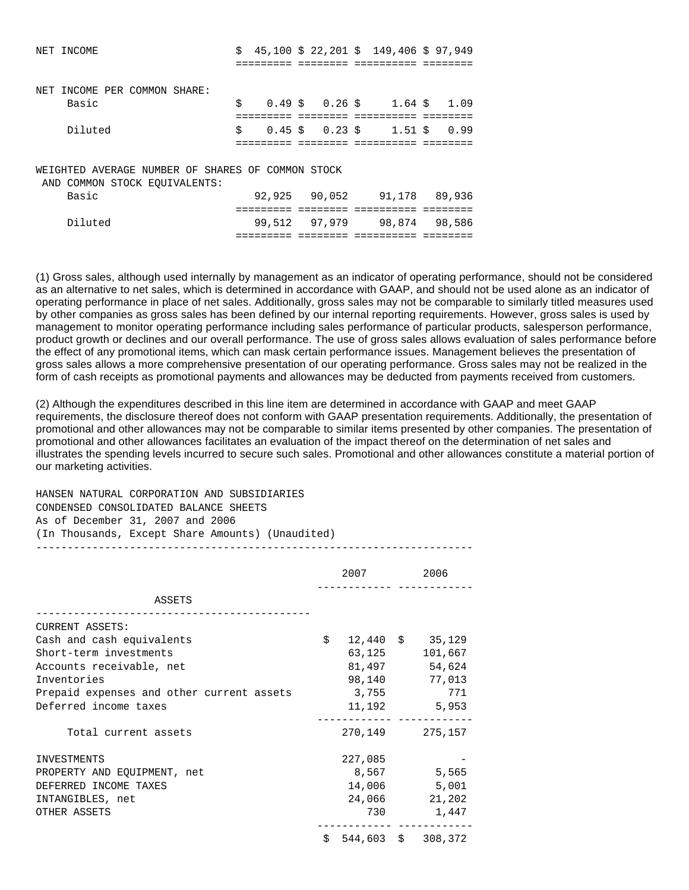|     | NET INCOME                                        | Ŝ. |        |                          | 45,100 \$ 22,201 \$ 149,406 \$ 97,949 |        |
|-----|---------------------------------------------------|----|--------|--------------------------|---------------------------------------|--------|
|     |                                                   |    |        |                          |                                       |        |
| NET | INCOME PER COMMON SHARE:                          |    |        |                          |                                       |        |
|     | Basic                                             | Ŝ. |        | $0.49 \pm 0.26 \pm 0.26$ | $1.64 \text{ }$ \$                    | 1.09   |
|     |                                                   |    |        |                          |                                       |        |
|     | Diluted                                           | \$ |        |                          | $1.51 \text{ }$ \$                    | 0.99   |
|     |                                                   |    |        |                          |                                       |        |
|     |                                                   |    |        |                          |                                       |        |
|     | WEIGHTED AVERAGE NUMBER OF SHARES OF COMMON STOCK |    |        |                          |                                       |        |
|     | AND COMMON STOCK EOUIVALENTS:                     |    |        |                          |                                       |        |
|     | Basic                                             |    | 92,925 | 90,052                   | 91,178                                | 89,936 |
|     |                                                   |    |        |                          |                                       |        |
|     | Diluted                                           |    |        | 99,512 97,979            | 98,874                                | 98,586 |
|     |                                                   |    |        |                          |                                       |        |

(1) Gross sales, although used internally by management as an indicator of operating performance, should not be considered as an alternative to net sales, which is determined in accordance with GAAP, and should not be used alone as an indicator of operating performance in place of net sales. Additionally, gross sales may not be comparable to similarly titled measures used by other companies as gross sales has been defined by our internal reporting requirements. However, gross sales is used by management to monitor operating performance including sales performance of particular products, salesperson performance, product growth or declines and our overall performance. The use of gross sales allows evaluation of sales performance before the effect of any promotional items, which can mask certain performance issues. Management believes the presentation of gross sales allows a more comprehensive presentation of our operating performance. Gross sales may not be realized in the form of cash receipts as promotional payments and allowances may be deducted from payments received from customers.

(2) Although the expenditures described in this line item are determined in accordance with GAAP and meet GAAP requirements, the disclosure thereof does not conform with GAAP presentation requirements. Additionally, the presentation of promotional and other allowances may not be comparable to similar items presented by other companies. The presentation of promotional and other allowances facilitates an evaluation of the impact thereof on the determination of net sales and illustrates the spending levels incurred to secure such sales. Promotional and other allowances constitute a material portion of our marketing activities.

HANSEN NATURAL CORPORATION AND SUBSIDIARIES CONDENSED CONSOLIDATED BALANCE SHEETS As of December 31, 2007 and 2006 (In Thousands, Except Share Amounts) (Unaudited) ---------------------------------------------------------------------- 2007 2006 ------------ ------------ ASSETS -------------------------------------------- CURRENT ASSETS: Cash and cash equivalents  $\qquad \qquad$  \$ 12,440 \$ 35,129 Short-term investments 63,125 101,667 Accounts receivable, net  $81,497$  54,624 Inventories 98,140 77,013 Prepaid expenses and other current assets  $3,755$  771<br>Deferred income taxes  $11,192$  5,953 Deferred income taxes ------------ ------------ Total current assets 270,149 275,157 INVESTMENTS 227,085 PROPERTY AND EQUIPMENT, net 8,567 5,565 DEFERRED INCOME TAXES 14,006 5,001 INTANGIBLES, net 24,066 21,202 OTHER ASSETS 2008 1,447

| $$544,603$ \$ 308,372 |  |  |
|-----------------------|--|--|